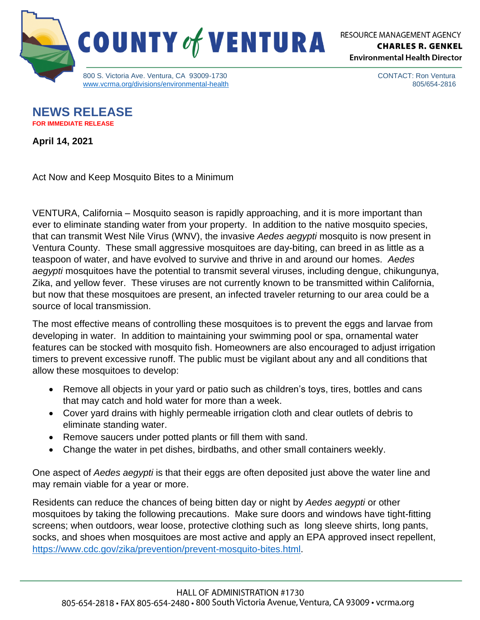

RESOURCE MANAGEMENT AGENCY **CHARLES R. GENKEL Environmental Health Director** 

> CONTACT: Ron Ventura 805/654-2816

**NEWS RELEASE FOR IMMEDIATE RELEASE**

**April 14, 2021**

Act Now and Keep Mosquito Bites to a Minimum

VENTURA, California – Mosquito season is rapidly approaching, and it is more important than ever to eliminate standing water from your property. In addition to the native mosquito species, that can transmit West Nile Virus (WNV), the invasive *Aedes aegypti* mosquito is now present in Ventura County. These small aggressive mosquitoes are day-biting, can breed in as little as a teaspoon of water, and have evolved to survive and thrive in and around our homes. *Aedes aegypti* mosquitoes have the potential to transmit several viruses, including dengue, chikungunya, Zika, and yellow fever. These viruses are not currently known to be transmitted within California, but now that these mosquitoes are present, an infected traveler returning to our area could be a source of local transmission.

The most effective means of controlling these mosquitoes is to prevent the eggs and larvae from developing in water. In addition to maintaining your swimming pool or spa, ornamental water features can be stocked with mosquito fish. Homeowners are also encouraged to adjust irrigation timers to prevent excessive runoff. The public must be vigilant about any and all conditions that allow these mosquitoes to develop:

- Remove all objects in your yard or patio such as children's toys, tires, bottles and cans that may catch and hold water for more than a week.
- Cover yard drains with highly permeable irrigation cloth and clear outlets of debris to eliminate standing water.
- Remove saucers under potted plants or fill them with sand.
- Change the water in pet dishes, birdbaths, and other small containers weekly.

One aspect of *Aedes aegypti* is that their eggs are often deposited just above the water line and may remain viable for a year or more.

Residents can reduce the chances of being bitten day or night by *Aedes aegypti* or other mosquitoes by taking the following precautions. Make sure doors and windows have tight-fitting screens; when outdoors, wear loose, protective clothing such as long sleeve shirts, long pants, socks, and shoes when mosquitoes are most active and apply an EPA approved insect repellent, [https://www.cdc.gov/zika/prevention/prevent-mosquito-bites.html.](https://www.cdc.gov/zika/prevention/prevent-mosquito-bites.html)